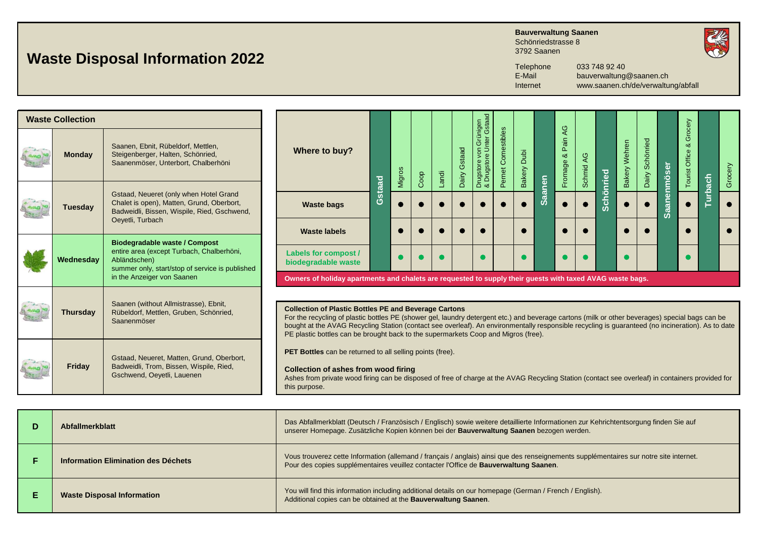## **Waste Disposal Information 2022**

**Bauverwaltung Saanen** Schönriedstrasse 8

3792 Saanen



Telephone 033 748 92 40<br>E-Mail bauverwaltung

E-Mail bauverwaltung@saanen.ch<br>Internet www.saanen.ch/de/verwaltu Internet www.saanen.ch/de/verwaltung/abfall

| <b>Waste Collection</b> |                                                                                                                                                                                    |                                                                                                                                                                                                                                                                                                                                                                                                                                                            |        |        |      |       |                 |                                                                          |                    |                |               |                           |              |          |                  |                    |                    |                                   |               |         |
|-------------------------|------------------------------------------------------------------------------------------------------------------------------------------------------------------------------------|------------------------------------------------------------------------------------------------------------------------------------------------------------------------------------------------------------------------------------------------------------------------------------------------------------------------------------------------------------------------------------------------------------------------------------------------------------|--------|--------|------|-------|-----------------|--------------------------------------------------------------------------|--------------------|----------------|---------------|---------------------------|--------------|----------|------------------|--------------------|--------------------|-----------------------------------|---------------|---------|
| <b>Monday</b>           | Saanen, Ebnit, Rübeldorf, Mettlen,<br>Steigenberger, Halten, Schönried,<br>Saanenmöser, Unterbort, Chalberhöni                                                                     | Where to buy?                                                                                                                                                                                                                                                                                                                                                                                                                                              |        | Migros | Coop | Landi | Gstaad<br>Dairy | Grünigen<br>nter Gstaac<br>Unter<br>yon<br>Drugstore vo<br>& Drugstore l | Pernet Comestibles | Dubi<br>Bakery |               | Q<br>Pain<br>∞<br>Fromage | AG<br>Schmid |          | Wehren<br>Bakery | Schönried<br>Dairy | <u>Saanenmöser</u> | Grocery<br>∝<br>Office<br>Tourist |               | Grocery |
|                         | Gstaad, Neueret (only when Hotel Grand                                                                                                                                             |                                                                                                                                                                                                                                                                                                                                                                                                                                                            | Gstaad |        |      |       |                 |                                                                          |                    |                | <b>Saanen</b> |                           |              | chönried |                  |                    |                    |                                   | <b>urbach</b> |         |
| Tuesdav                 | Chalet is open), Matten, Grund, Oberbort,<br>Badweidli, Bissen, Wispile, Ried, Gschwend,                                                                                           | <b>Waste bags</b>                                                                                                                                                                                                                                                                                                                                                                                                                                          |        |        |      |       |                 |                                                                          |                    |                |               |                           |              | Ō        |                  |                    |                    |                                   |               |         |
|                         | Oeyetli, Turbach                                                                                                                                                                   | <b>Waste labels</b>                                                                                                                                                                                                                                                                                                                                                                                                                                        |        |        |      |       |                 |                                                                          |                    |                |               |                           |              |          |                  |                    |                    |                                   |               |         |
| Wednesday               | <b>Biodegradable waste / Compost</b><br>entire area (except Turbach, Chalberhöni,<br>Abländschen)<br>summer only, start/stop of service is published<br>in the Anzeiger von Saanen | <b>Labels for compost /</b><br>biodegradable waste<br>Owners of holiday apartments and chalets are requested to supply their guests with taxed AVAG waste bags.                                                                                                                                                                                                                                                                                            |        |        |      |       |                 |                                                                          |                    |                |               |                           |              |          |                  |                    |                    |                                   |               |         |
|                         |                                                                                                                                                                                    |                                                                                                                                                                                                                                                                                                                                                                                                                                                            |        |        |      |       |                 |                                                                          |                    |                |               |                           |              |          |                  |                    |                    |                                   |               |         |
| <b>Thursday</b>         | Saanen (without Allmistrasse), Ebnit,<br>Rübeldorf, Mettlen, Gruben, Schönried,<br>Saanenmöser                                                                                     | <b>Collection of Plastic Bottles PE and Beverage Cartons</b><br>For the recycling of plastic bottles PE (shower gel, laundry detergent etc.) and beverage cartons (milk or other beverages) special bags can be<br>bought at the AVAG Recycling Station (contact see overleaf). An environmentally responsible recycling is guaranteed (no incineration). As to date<br>PE plastic bottles can be brought back to the supermarkets Coop and Migros (free). |        |        |      |       |                 |                                                                          |                    |                |               |                           |              |          |                  |                    |                    |                                   |               |         |
| <b>Friday</b>           | Gstaad, Neueret, Matten, Grund, Oberbort,<br>Badweidli, Trom, Bissen, Wispile, Ried,<br>Gschwend, Oeyetli, Lauenen                                                                 | <b>PET Bottles</b> can be returned to all selling points (free).<br><b>Collection of ashes from wood firing</b><br>Ashes from private wood firing can be disposed of free of charge at the AVAG Recycling Station (contact see overleaf) in containers provided for<br>this purpose.                                                                                                                                                                       |        |        |      |       |                 |                                                                          |                    |                |               |                           |              |          |                  |                    |                    |                                   |               |         |

| Abfallmerkblatt                     | Das Abfallmerkblatt (Deutsch / Französisch / Englisch) sowie weitere detaillierte Informationen zur Kehrichtentsorgung finden Sie auf<br>unserer Homepage. Zusätzliche Kopien können bei der Bauverwaltung Saanen bezogen werden. |
|-------------------------------------|-----------------------------------------------------------------------------------------------------------------------------------------------------------------------------------------------------------------------------------|
| Information Elimination des Déchets | Vous trouverez cette Information (allemand / français / anglais) ainsi que des renseignements supplémentaires sur notre site internet.<br>Pour des copies supplémentaires veuillez contacter l'Office de Bauverwaltung Saanen.    |
| <b>Waste Disposal Information</b>   | You will find this information including additional details on our homepage (German / French / English).<br>Additional copies can be obtained at the <b>Bauverwaltung Saanen</b> .                                                |